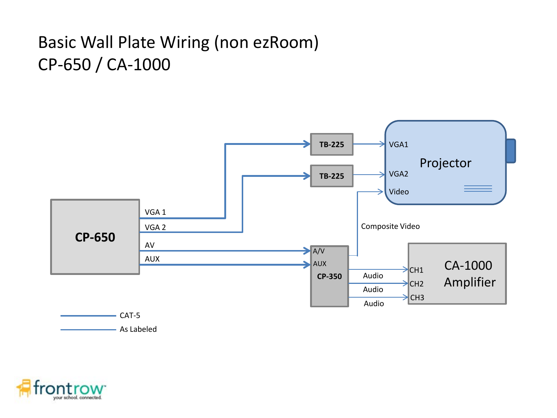## Basic Wall Plate Wiring (non ezRoom) CP-650 / CA-1000



As Labeled

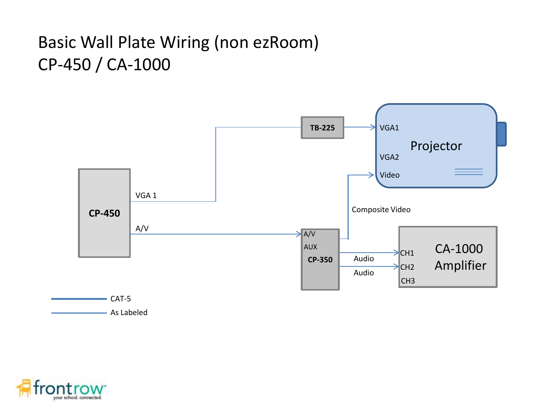## Basic Wall Plate Wiring (non ezRoom) CP-450 / CA-1000



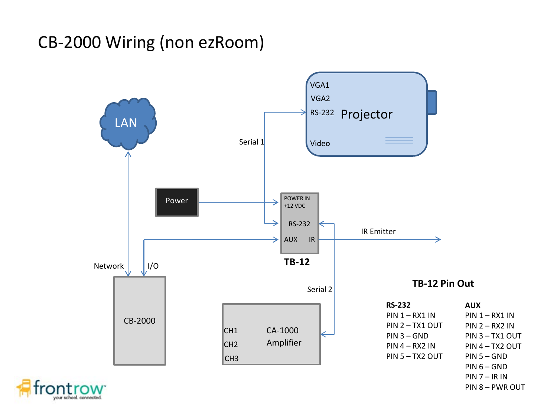## CB-2000 Wiring (non ezRoom)

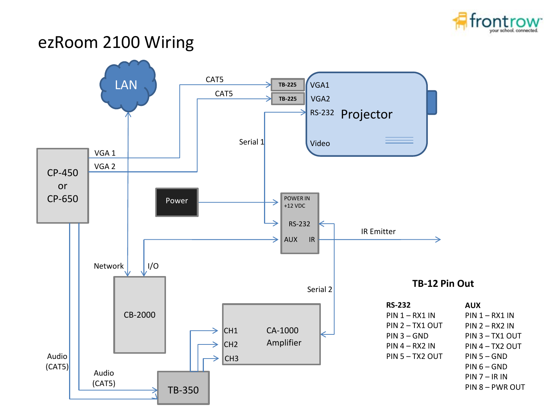

## ezRoom 2100 Wiring